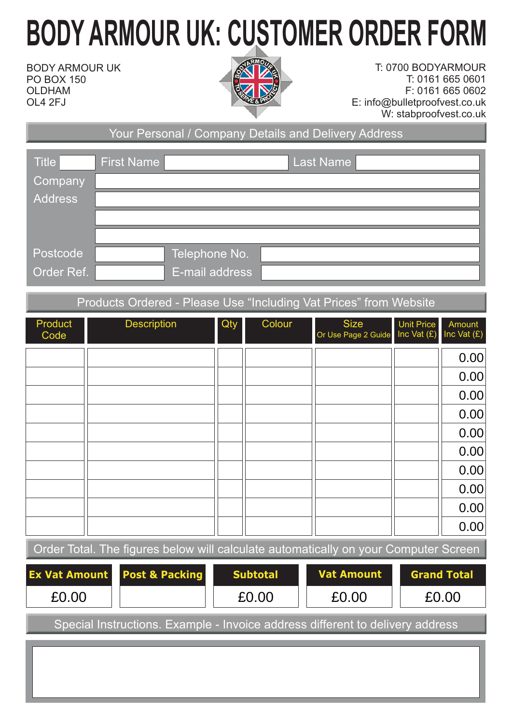## **BODY ARMOUR UK: CUSTOMER ORDER FORM**

BODY ARMOUR UK PO BOX 150 OLDHAM OL4 2FJ



T: 0700 BODYARMOUR T: 0161 665 0601 F: 0161 665 0602 E: info@bulletproofvest.co.uk W: stabproofvest.co.uk

Your Personal / Company Details and Delivery Address

| <b>Title</b>            | <b>First Name</b><br>Last Name |  |
|-------------------------|--------------------------------|--|
| <b>Company</b>          |                                |  |
| <b>Address</b>          |                                |  |
|                         |                                |  |
|                         |                                |  |
| Postcode <sup>'</sup>   | Telephone No.                  |  |
| Order Ref. <sup>1</sup> | E-mail address                 |  |

## Products Ordered - Please Use "Including Vat Prices" from Website

| Product<br>Code                                                                     |  | <b>Description</b> | Qty | Colour            | <b>Size</b><br>Or Use Page 2 Guide | <b>Unit Price</b><br>Inc Vat $(E)$ | Amount<br>Inc Vat $(E)$ |  |  |
|-------------------------------------------------------------------------------------|--|--------------------|-----|-------------------|------------------------------------|------------------------------------|-------------------------|--|--|
|                                                                                     |  |                    |     |                   |                                    |                                    | 0.00                    |  |  |
|                                                                                     |  |                    |     |                   |                                    |                                    | 0.00                    |  |  |
|                                                                                     |  |                    |     |                   |                                    |                                    | 0.00                    |  |  |
|                                                                                     |  |                    |     |                   |                                    |                                    | 0.00                    |  |  |
|                                                                                     |  |                    |     |                   |                                    |                                    | 0.00                    |  |  |
|                                                                                     |  |                    |     |                   |                                    |                                    | 0.00                    |  |  |
|                                                                                     |  |                    |     |                   |                                    |                                    | 0.00                    |  |  |
|                                                                                     |  |                    |     |                   |                                    |                                    | 0.00                    |  |  |
|                                                                                     |  |                    |     |                   |                                    |                                    | 0.00                    |  |  |
|                                                                                     |  |                    |     |                   |                                    |                                    | 0.00                    |  |  |
| Order Total. The figures below will calculate automatically on your Computer Screen |  |                    |     |                   |                                    |                                    |                         |  |  |
| <b>Ex Vat Amount</b><br><b>Post &amp; Packing</b>                                   |  | <b>Subtotal</b>    |     | <b>Vat Amount</b> | <b>Grand Total</b>                 |                                    |                         |  |  |
| £0.00                                                                               |  |                    |     | £0.00             | £0.00                              |                                    | £0.00                   |  |  |

Special Instructions. Example - Invoice address different to delivery address